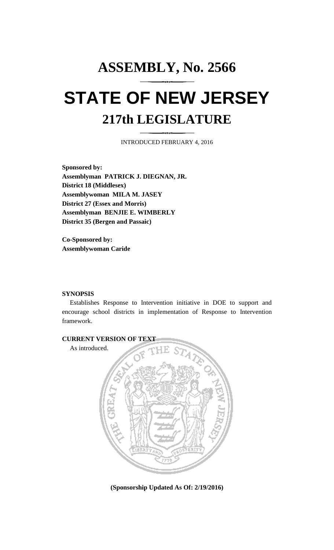## **ASSEMBLY, No. 2566 STATE OF NEW JERSEY 217th LEGISLATURE**

INTRODUCED FEBRUARY 4, 2016

**Sponsored by: Assemblyman PATRICK J. DIEGNAN, JR. District 18 (Middlesex) Assemblywoman MILA M. JASEY District 27 (Essex and Morris) Assemblyman BENJIE E. WIMBERLY District 35 (Bergen and Passaic)**

**Co-Sponsored by: Assemblywoman Caride**

## **SYNOPSIS**

Establishes Response to Intervention initiative in DOE to support and encourage school districts in implementation of Response to Intervention framework.



**(Sponsorship Updated As Of: 2/19/2016)**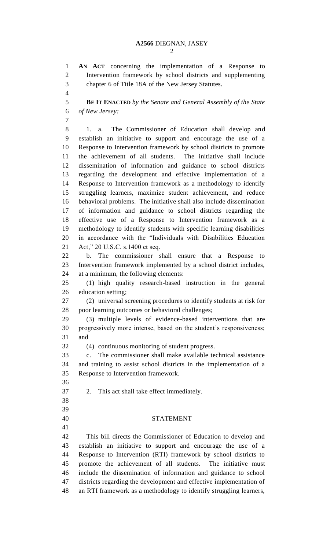**AN ACT** concerning the implementation of a Response to Intervention framework by school districts and supplementing chapter 6 of Title 18A of the New Jersey Statutes. **BE IT ENACTED** *by the Senate and General Assembly of the State of New Jersey:* 1. a. The Commissioner of Education shall develop and establish an initiative to support and encourage the use of a Response to Intervention framework by school districts to promote the achievement of all students. The initiative shall include dissemination of information and guidance to school districts regarding the development and effective implementation of a Response to Intervention framework as a methodology to identify struggling learners, maximize student achievement, and reduce behavioral problems. The initiative shall also include dissemination of information and guidance to school districts regarding the effective use of a Response to Intervention framework as a methodology to identify students with specific learning disabilities in accordance with the "Individuals with Disabilities Education Act," 20 U.S.C. s.1400 et seq. b. The commissioner shall ensure that a Response to Intervention framework implemented by a school district includes, at a minimum, the following elements: (1) high quality research-based instruction in the general education setting; (2) universal screening procedures to identify students at risk for poor learning outcomes or behavioral challenges; (3) multiple levels of evidence-based interventions that are progressively more intense, based on the student's responsiveness; and (4) continuous monitoring of student progress. c. The commissioner shall make available technical assistance and training to assist school districts in the implementation of a Response to Intervention framework. 2. This act shall take effect immediately. STATEMENT This bill directs the Commissioner of Education to develop and establish an initiative to support and encourage the use of a Response to Intervention (RTI) framework by school districts to promote the achievement of all students. The initiative must include the dissemination of information and guidance to school districts regarding the development and effective implementation of an RTI framework as a methodology to identify struggling learners,